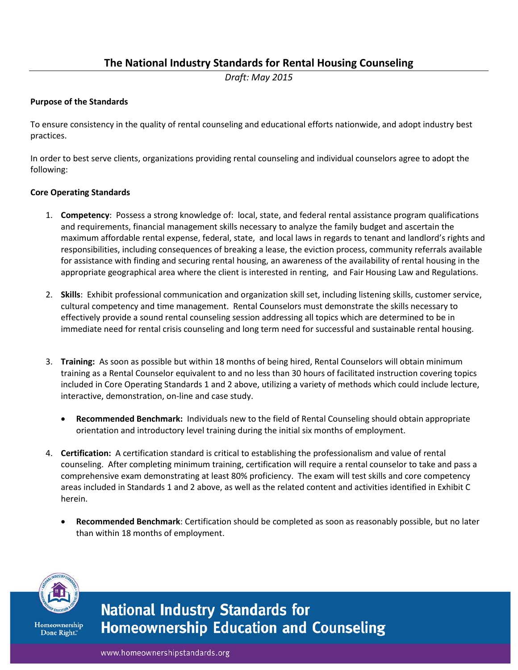# **The National Industry Standards for Rental Housing Counseling**

*Draft: May 2015*

### **Purpose of the Standards**

To ensure consistency in the quality of rental counseling and educational efforts nationwide, and adopt industry best practices.

In order to best serve clients, organizations providing rental counseling and individual counselors agree to adopt the following:

#### **Core Operating Standards**

- 1. **Competency**: Possess a strong knowledge of: local, state, and federal rental assistance program qualifications and requirements, financial management skills necessary to analyze the family budget and ascertain the maximum affordable rental expense, federal, state, and local laws in regards to tenant and landlord's rights and responsibilities, including consequences of breaking a lease, the eviction process, community referrals available for assistance with finding and securing rental housing, an awareness of the availability of rental housing in the appropriate geographical area where the client is interested in renting, and Fair Housing Law and Regulations.
- 2. **Skills**: Exhibit professional communication and organization skill set, including listening skills, customer service, cultural competency and time management. Rental Counselors must demonstrate the skills necessary to effectively provide a sound rental counseling session addressing all topics which are determined to be in immediate need for rental crisis counseling and long term need for successful and sustainable rental housing.
- 3. **Training:** As soon as possible but within 18 months of being hired, Rental Counselors will obtain minimum training as a Rental Counselor equivalent to and no less than 30 hours of facilitated instruction covering topics included in Core Operating Standards 1 and 2 above, utilizing a variety of methods which could include lecture, interactive, demonstration, on-line and case study.
	- **Recommended Benchmark:** Individuals new to the field of Rental Counseling should obtain appropriate orientation and introductory level training during the initial six months of employment.
- 4. **Certification:** A certification standard is critical to establishing the professionalism and value of rental counseling. After completing minimum training, certification will require a rental counselor to take and pass a comprehensive exam demonstrating at least 80% proficiency. The exam will test skills and core competency areas included in Standards 1 and 2 above, as well as the related content and activities identified in Exhibit C herein.
	- **Recommended Benchmark**: Certification should be completed as soon as reasonably possible, but no later than within 18 months of employment.



Homeownership Done Right."

**National Industry Standards for Homeownership Education and Counseling** 

www.homeownershipstandards.org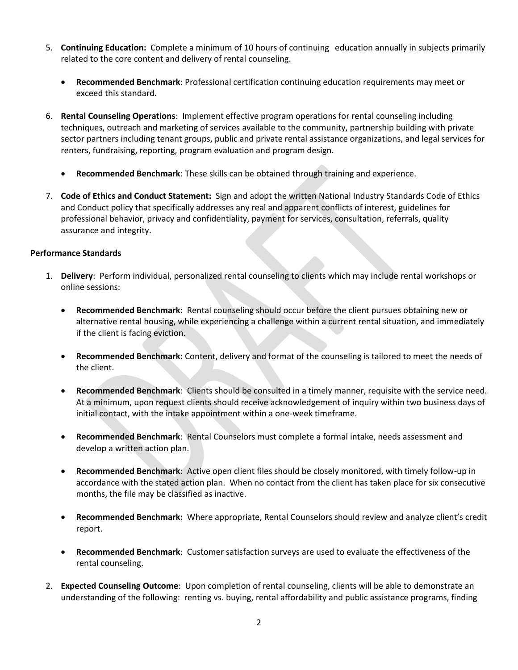- 5. **Continuing Education:** Complete a minimum of 10 hours of continuing education annually in subjects primarily related to the core content and delivery of rental counseling.
	- **Recommended Benchmark**: Professional certification continuing education requirements may meet or exceed this standard.
- 6. **Rental Counseling Operations**: Implement effective program operations for rental counseling including techniques, outreach and marketing of services available to the community, partnership building with private sector partners including tenant groups, public and private rental assistance organizations, and legal services for renters, fundraising, reporting, program evaluation and program design.
	- **Recommended Benchmark**: These skills can be obtained through training and experience.
- 7. **Code of Ethics and Conduct Statement:** Sign and adopt the written National Industry Standards Code of Ethics and Conduct policy that specifically addresses any real and apparent conflicts of interest, guidelines for professional behavior, privacy and confidentiality, payment for services, consultation, referrals, quality assurance and integrity.

## **Performance Standards**

- 1. **Delivery**: Perform individual, personalized rental counseling to clients which may include rental workshops or online sessions:
	- **Recommended Benchmark**: Rental counseling should occur before the client pursues obtaining new or alternative rental housing, while experiencing a challenge within a current rental situation, and immediately if the client is facing eviction.
	- **Recommended Benchmark**: Content, delivery and format of the counseling is tailored to meet the needs of the client.
	- **Recommended Benchmark**: Clients should be consulted in a timely manner, requisite with the service need. At a minimum, upon request clients should receive acknowledgement of inquiry within two business days of initial contact, with the intake appointment within a one-week timeframe.
	- **Recommended Benchmark**: Rental Counselors must complete a formal intake, needs assessment and develop a written action plan.
	- **Recommended Benchmark**: Active open client files should be closely monitored, with timely follow-up in accordance with the stated action plan. When no contact from the client has taken place for six consecutive months, the file may be classified as inactive.
	- **Recommended Benchmark:** Where appropriate, Rental Counselors should review and analyze client's credit report.
	- **Recommended Benchmark**: Customer satisfaction surveys are used to evaluate the effectiveness of the rental counseling.
- 2. **Expected Counseling Outcome**: Upon completion of rental counseling, clients will be able to demonstrate an understanding of the following: renting vs. buying, rental affordability and public assistance programs, finding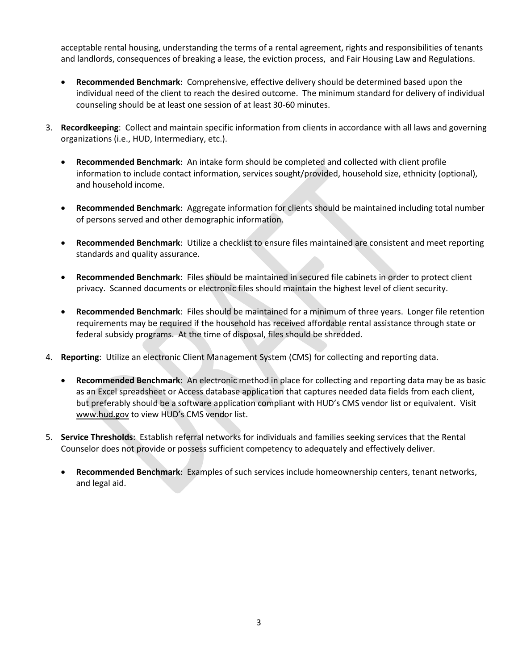acceptable rental housing, understanding the terms of a rental agreement, rights and responsibilities of tenants and landlords, consequences of breaking a lease, the eviction process, and Fair Housing Law and Regulations.

- **Recommended Benchmark**: Comprehensive, effective delivery should be determined based upon the individual need of the client to reach the desired outcome. The minimum standard for delivery of individual counseling should be at least one session of at least 30-60 minutes.
- 3. **Recordkeeping**: Collect and maintain specific information from clients in accordance with all laws and governing organizations (i.e., HUD, Intermediary, etc.).
	- **Recommended Benchmark**: An intake form should be completed and collected with client profile information to include contact information, services sought/provided, household size, ethnicity (optional), and household income.
	- **Recommended Benchmark**: Aggregate information for clients should be maintained including total number of persons served and other demographic information.
	- **Recommended Benchmark**: Utilize a checklist to ensure files maintained are consistent and meet reporting standards and quality assurance.
	- **Recommended Benchmark**: Files should be maintained in secured file cabinets in order to protect client privacy. Scanned documents or electronic files should maintain the highest level of client security.
	- **Recommended Benchmark**: Files should be maintained for a minimum of three years. Longer file retention requirements may be required if the household has received affordable rental assistance through state or federal subsidy programs. At the time of disposal, files should be shredded.
- 4. **Reporting**: Utilize an electronic Client Management System (CMS) for collecting and reporting data.
	- **Recommended Benchmark**: An electronic method in place for collecting and reporting data may be as basic as an Excel spreadsheet or Access database application that captures needed data fields from each client, but preferably should be a software application compliant with HUD's CMS vendor list or equivalent. Visit [www.hud.gov](http://www.hud.gov/) to view HUD's CMS vendor list.
- 5. **Service Thresholds**: Establish referral networks for individuals and families seeking services that the Rental Counselor does not provide or possess sufficient competency to adequately and effectively deliver.
	- **Recommended Benchmark**: Examples of such services include homeownership centers, tenant networks, and legal aid.